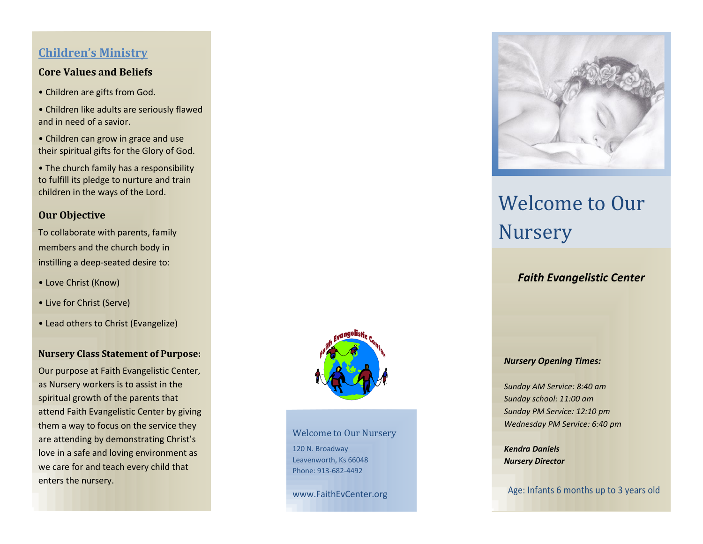# **Children's Ministry**

### **Core Values and Beliefs**

- Children are gifts from God.
- Children like adults are seriously flawed and in need of a savior.
- Children can grow in grace and use their spiritual gifts for the Glory of God.
- The church family has a responsibility to fulfill its pledge to nurture and train children in the ways of the Lord.

### **Our Objective**

To collaborate with parents, family members and the church body in instilling a deep-seated desire to:

- Love Christ (Know)
- Live for Christ (Serve)
- Lead others to Christ (Evangelize)

#### **Nursery Class Statement of Purpose:**

Our purpose at Faith Evangelistic Center, as Nursery workers is to assist in the spiritual growth of the parents that attend Faith Evangelistic Center by giving them a way to focus on the service they are attending by demonstrating Christ's love in a safe and loving environment as we care for and teach every child that enters the nursery.



Welcome to Our Nursery 120 N. Broadway Leavenworth, Ks 66048 Phone: 913-682-4492

www.FaithEvCenter.org



# Welcome to Our Nursery

# *Faith Evangelistic Center*

#### *Nursery Opening Times:*

*Sunday AM Service: 8:40 am Sunday school: 11:00 am Sunday PM Service: 12:10 pm Wednesday PM Service: 6:40 pm*

*Kendra Daniels Nursery Director*

Age: Infants 6 months up to 3 years old